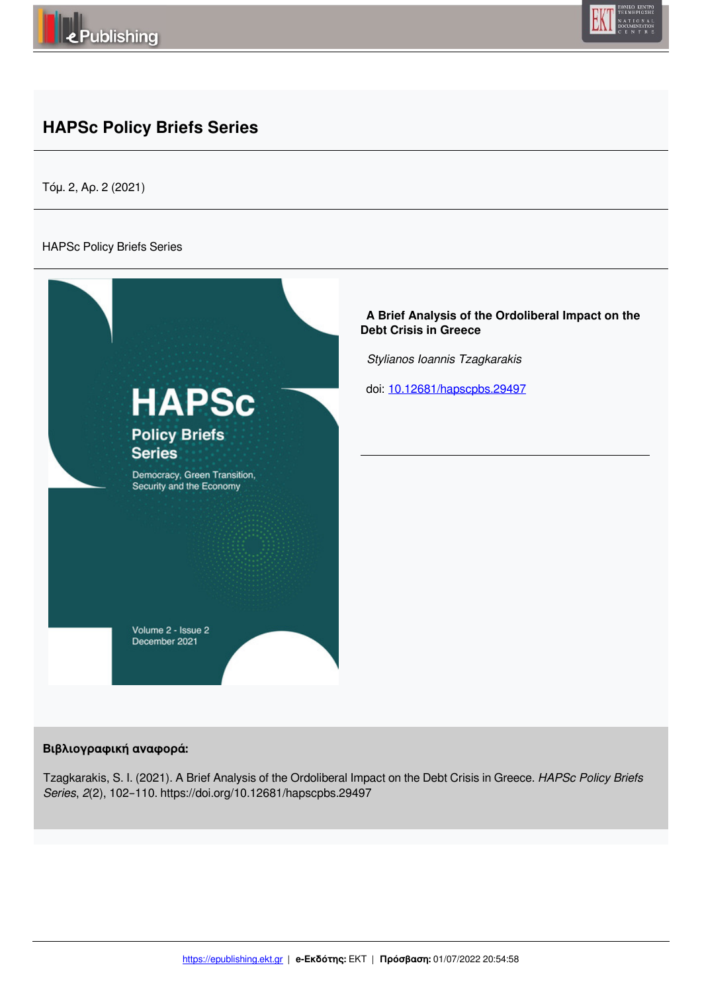



# **HAPSc Policy Briefs Series**

Τόμ. 2, Αρ. 2 (2021)

#### HAPSc Policy Briefs Series



#### **Βιβλιογραφική αναφορά:**

Tzagkarakis, S. I. (2021). A Brief Analysis of the Ordoliberal Impact on the Debt Crisis in Greece. *HAPSc Policy Briefs Series*, *2*(2), 102–110. https://doi.org/10.12681/hapscpbs.29497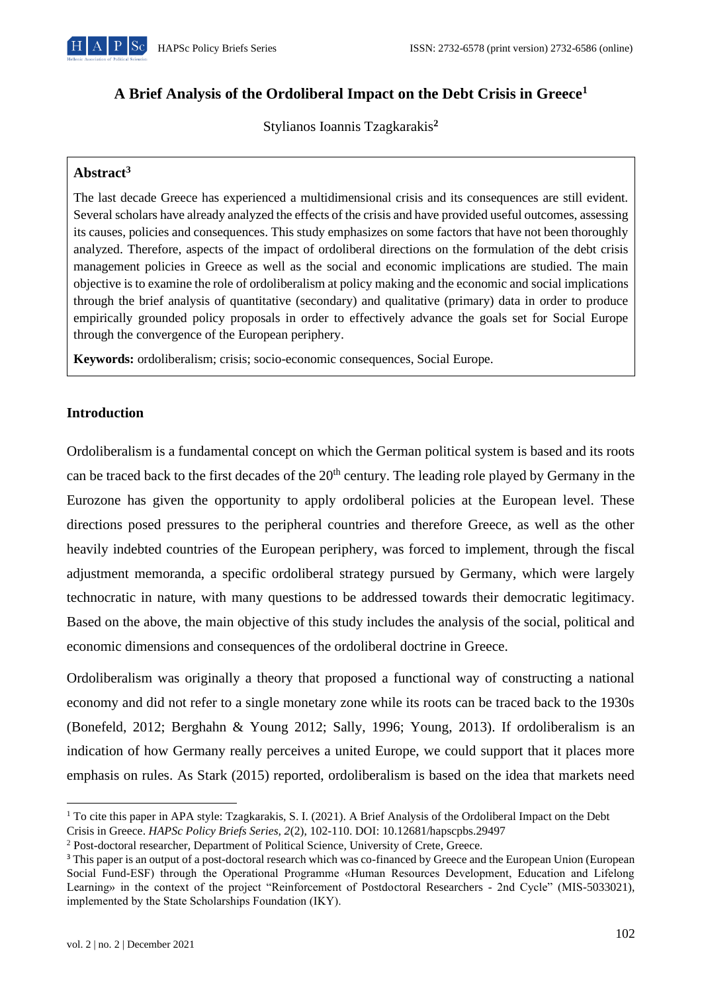

# **A Brief Analysis of the Ordoliberal Impact on the Debt Crisis in Greece<sup>1</sup>**

Stylianos Ioannis Tzagkarakis**<sup>2</sup>**

# **Abstract<sup>3</sup>**

The last decade Greece has experienced a multidimensional crisis and its consequences are still evident. Several scholars have already analyzed the effects of the crisis and have provided useful outcomes, assessing its causes, policies and consequences. This study emphasizes on some factors that have not been thoroughly analyzed. Therefore, aspects of the impact of ordoliberal directions on the formulation of the debt crisis management policies in Greece as well as the social and economic implications are studied. The main objective is to examine the role of ordoliberalism at policy making and the economic and social implications through the brief analysis of quantitative (secondary) and qualitative (primary) data in order to produce empirically grounded policy proposals in order to effectively advance the goals set for Social Europe through the convergence of the European periphery.

**Keywords:** ordoliberalism; crisis; socio-economic consequences, Social Europe.

## **Introduction**

Ordoliberalism is a fundamental concept on which the German political system is based and its roots can be traced back to the first decades of the 20<sup>th</sup> century. The leading role played by Germany in the Eurozone has given the opportunity to apply ordoliberal policies at the European level. These directions posed pressures to the peripheral countries and therefore Greece, as well as the other heavily indebted countries of the European periphery, was forced to implement, through the fiscal adjustment memoranda, a specific ordoliberal strategy pursued by Germany, which were largely technocratic in nature, with many questions to be addressed towards their democratic legitimacy. Based on the above, the main objective of this study includes the analysis of the social, political and economic dimensions and consequences of the ordoliberal doctrine in Greece.

Ordoliberalism was originally a theory that proposed a functional way of constructing a national economy and did not refer to a single monetary zone while its roots can be traced back to the 1930s (Bonefeld, 2012; Berghahn & Young 2012; Sally, 1996; Young, 2013). If ordoliberalism is an indication of how Germany really perceives a united Europe, we could support that it places more emphasis on rules. As Stark (2015) reported, ordoliberalism is based on the idea that markets need

<sup>1</sup> To cite this paper in APA style: Tzagkarakis, S. I. (2021). A Brief Analysis of the Ordoliberal Impact on the Debt Crisis in Greece. *HAPSc Policy Briefs Series, 2*(2), 102-110. DOI: 10.12681/hapscpbs.29497

<sup>2</sup> Post-doctoral researcher, Department of Political Science, University of Crete, Greece.

<sup>&</sup>lt;sup>3</sup> This paper is an output of a post-doctoral research which was co-financed by Greece and the European Union (European Social Fund-ESF) through the Operational Programme «Human Resources Development, Education and Lifelong Learning» in the context of the project "Reinforcement of Postdoctoral Researchers - 2nd Cycle" (MIS-5033021), implemented by the State Scholarships Foundation (ΙΚΥ).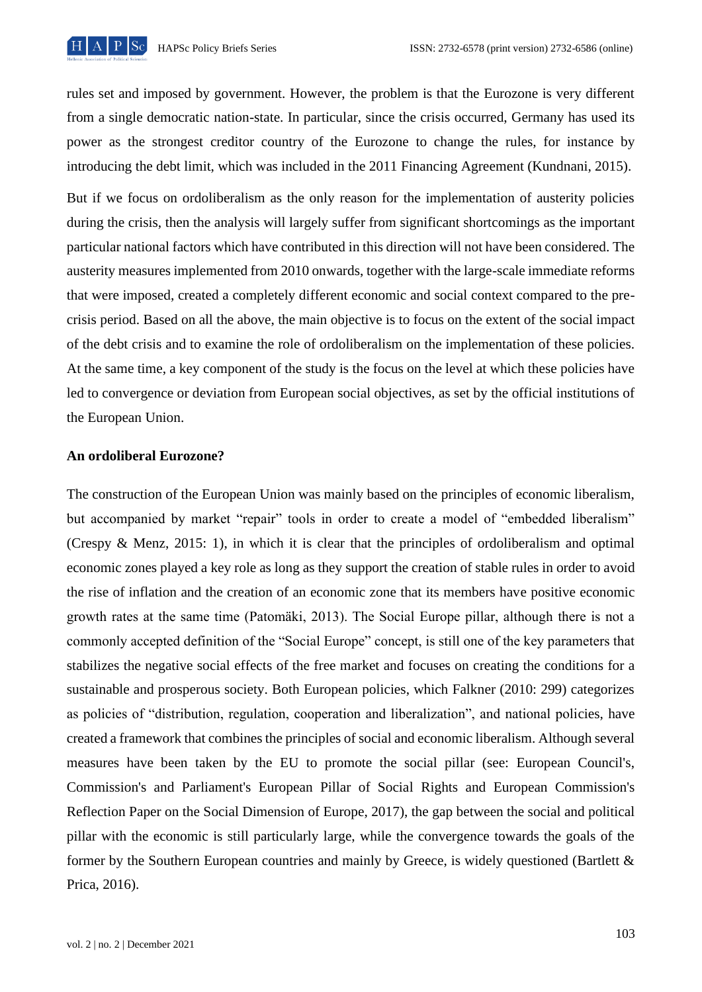

rules set and imposed by government. However, the problem is that the Eurozone is very different from a single democratic nation-state. In particular, since the crisis occurred, Germany has used its power as the strongest creditor country of the Eurozone to change the rules, for instance by introducing the debt limit, which was included in the 2011 Financing Agreement (Kundnani, 2015).

But if we focus on ordoliberalism as the only reason for the implementation of austerity policies during the crisis, then the analysis will largely suffer from significant shortcomings as the important particular national factors which have contributed in this direction will not have been considered. The austerity measures implemented from 2010 onwards, together with the large-scale immediate reforms that were imposed, created a completely different economic and social context compared to the precrisis period. Based on all the above, the main objective is to focus on the extent of the social impact of the debt crisis and to examine the role of ordoliberalism on the implementation of these policies. At the same time, a key component of the study is the focus on the level at which these policies have led to convergence or deviation from European social objectives, as set by the official institutions of the European Union.

## **An ordoliberal Eurozone?**

The construction of the European Union was mainly based on the principles of economic liberalism, but accompanied by market "repair" tools in order to create a model of "embedded liberalism" (Crespy & Menz, 2015: 1), in which it is clear that the principles of ordoliberalism and optimal economic zones played a key role as long as they support the creation of stable rules in order to avoid the rise of inflation and the creation of an economic zone that its members have positive economic growth rates at the same time (Patomäki, 2013). The Social Europe pillar, although there is not a commonly accepted definition of the "Social Europe" concept, is still one of the key parameters that stabilizes the negative social effects of the free market and focuses on creating the conditions for a sustainable and prosperous society. Both European policies, which Falkner (2010: 299) categorizes as policies of "distribution, regulation, cooperation and liberalization", and national policies, have created a framework that combines the principles of social and economic liberalism. Although several measures have been taken by the EU to promote the social pillar (see: European Council's, Commission's and Parliament's European Pillar of Social Rights and European Commission's Reflection Paper on the Social Dimension of Europe, 2017), the gap between the social and political pillar with the economic is still particularly large, while the convergence towards the goals of the former by the Southern European countries and mainly by Greece, is widely questioned (Bartlett & Prica, 2016).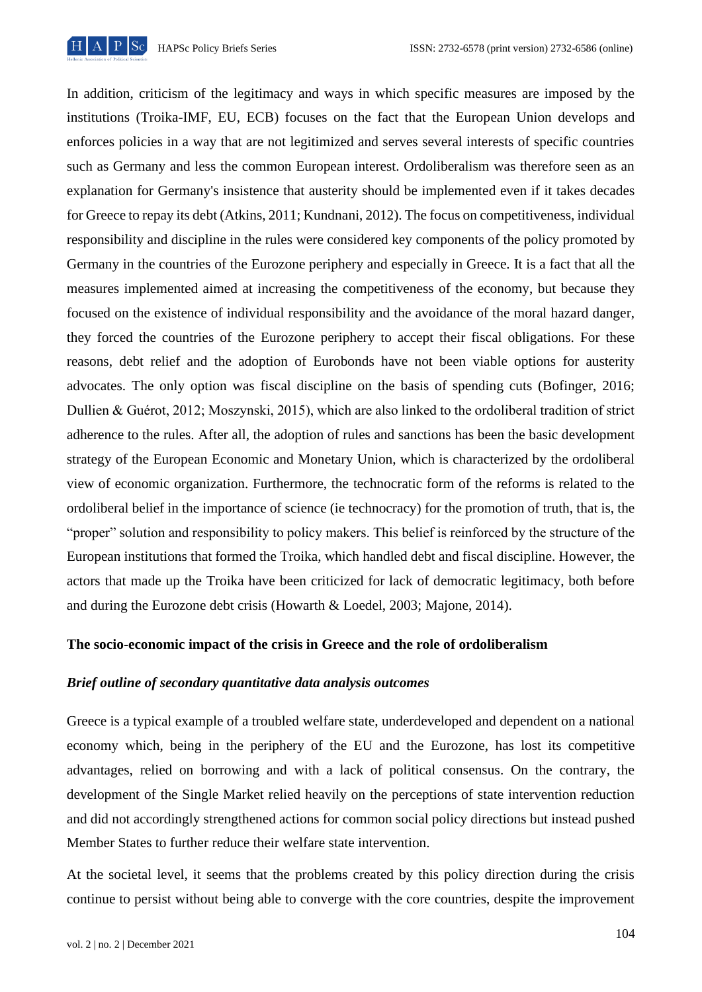

In addition, criticism of the legitimacy and ways in which specific measures are imposed by the institutions (Troika-IMF, EU, ECB) focuses on the fact that the European Union develops and enforces policies in a way that are not legitimized and serves several interests of specific countries such as Germany and less the common European interest. Ordoliberalism was therefore seen as an explanation for Germany's insistence that austerity should be implemented even if it takes decades for Greece to repay its debt (Atkins, 2011; Kundnani, 2012). The focus on competitiveness, individual responsibility and discipline in the rules were considered key components of the policy promoted by Germany in the countries of the Eurozone periphery and especially in Greece. It is a fact that all the measures implemented aimed at increasing the competitiveness of the economy, but because they focused on the existence of individual responsibility and the avoidance of the moral hazard danger, they forced the countries of the Eurozone periphery to accept their fiscal obligations. For these reasons, debt relief and the adoption of Eurobonds have not been viable options for austerity advocates. The only option was fiscal discipline on the basis of spending cuts (Bofinger, 2016; Dullien & Guérot, 2012; Moszynski, 2015), which are also linked to the ordoliberal tradition of strict adherence to the rules. After all, the adoption of rules and sanctions has been the basic development strategy of the European Economic and Monetary Union, which is characterized by the ordoliberal view of economic organization. Furthermore, the technocratic form of the reforms is related to the ordoliberal belief in the importance of science (ie technocracy) for the promotion of truth, that is, the "proper" solution and responsibility to policy makers. This belief is reinforced by the structure of the European institutions that formed the Troika, which handled debt and fiscal discipline. However, the actors that made up the Troika have been criticized for lack of democratic legitimacy, both before and during the Eurozone debt crisis (Howarth & Loedel, 2003; Majone, 2014).

### **The socio-economic impact of the crisis in Greece and the role of ordoliberalism**

### *Brief outline of secondary quantitative data analysis outcomes*

Greece is a typical example of a troubled welfare state, underdeveloped and dependent on a national economy which, being in the periphery of the EU and the Eurozone, has lost its competitive advantages, relied on borrowing and with a lack of political consensus. On the contrary, the development of the Single Market relied heavily on the perceptions of state intervention reduction and did not accordingly strengthened actions for common social policy directions but instead pushed Member States to further reduce their welfare state intervention.

At the societal level, it seems that the problems created by this policy direction during the crisis continue to persist without being able to converge with the core countries, despite the improvement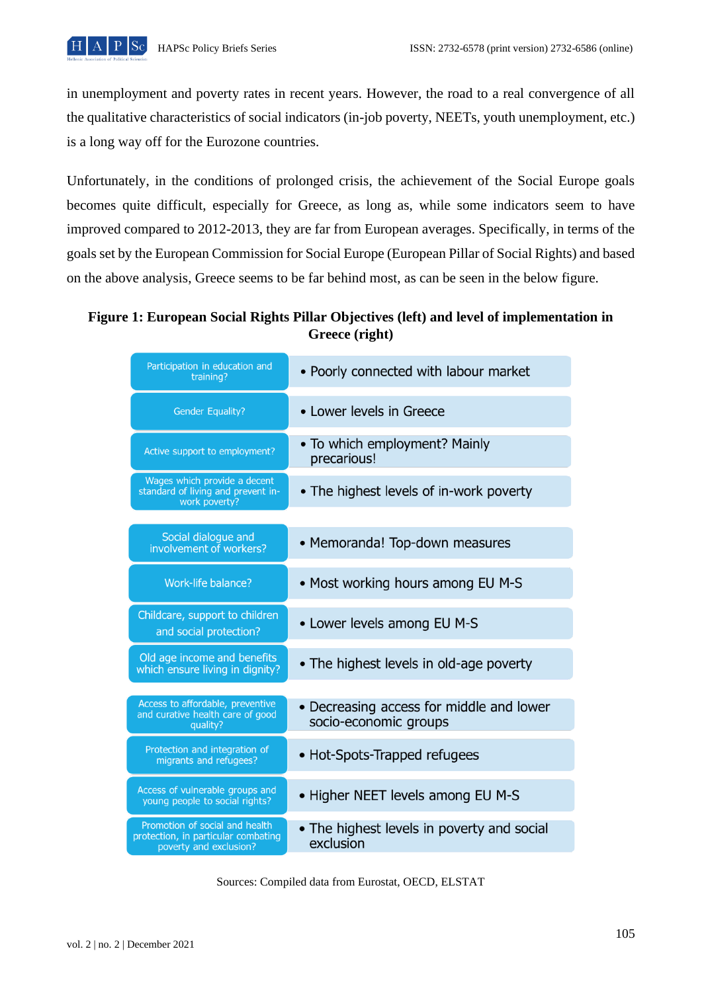in unemployment and poverty rates in recent years. However, the road to a real convergence of all the qualitative characteristics of social indicators (in-job poverty, NEETs, youth unemployment, etc.) is a long way off for the Eurozone countries.

Unfortunately, in the conditions of prolonged crisis, the achievement of the Social Europe goals becomes quite difficult, especially for Greece, as long as, while some indicators seem to have improved compared to 2012-2013, they are far from European averages. Specifically, in terms of the goals set by the European Commission for Social Europe (European Pillar of Social Rights) and based on the above analysis, Greece seems to be far behind most, as can be seen in the below figure.

**Figure 1: European Social Rights Pillar Objectives (left) and level of implementation in Greece (right)**

| Participation in education and<br>training?                                                     | • Poorly connected with labour market                             |
|-------------------------------------------------------------------------------------------------|-------------------------------------------------------------------|
| <b>Gender Equality?</b>                                                                         | • Lower levels in Greece                                          |
| Active support to employment?                                                                   | • To which employment? Mainly<br>precarious!                      |
| Wages which provide a decent<br>standard of living and prevent in-<br>work poverty?             | • The highest levels of in-work poverty                           |
| Social dialogue and<br>involvement of workers?                                                  | • Memoranda! Top-down measures                                    |
| <b>Work-life balance?</b>                                                                       | • Most working hours among EU M-S                                 |
| Childcare, support to children<br>and social protection?                                        | • Lower levels among EU M-S                                       |
| Old age income and benefits<br>which ensure living in dignity?                                  | • The highest levels in old-age poverty                           |
| Access to affordable, preventive<br>and curative health care of good<br>quality?                | • Decreasing access for middle and lower<br>socio-economic groups |
| Protection and integration of<br>migrants and refugees?                                         | • Hot-Spots-Trapped refugees                                      |
| Access of vulnerable groups and<br>young people to social rights?                               | • Higher NEET levels among EU M-S                                 |
| Promotion of social and health<br>protection, in particular combating<br>poverty and exclusion? | • The highest levels in poverty and social<br>exclusion           |

Sources: Compiled data from Eurostat, OECD, ELSTAT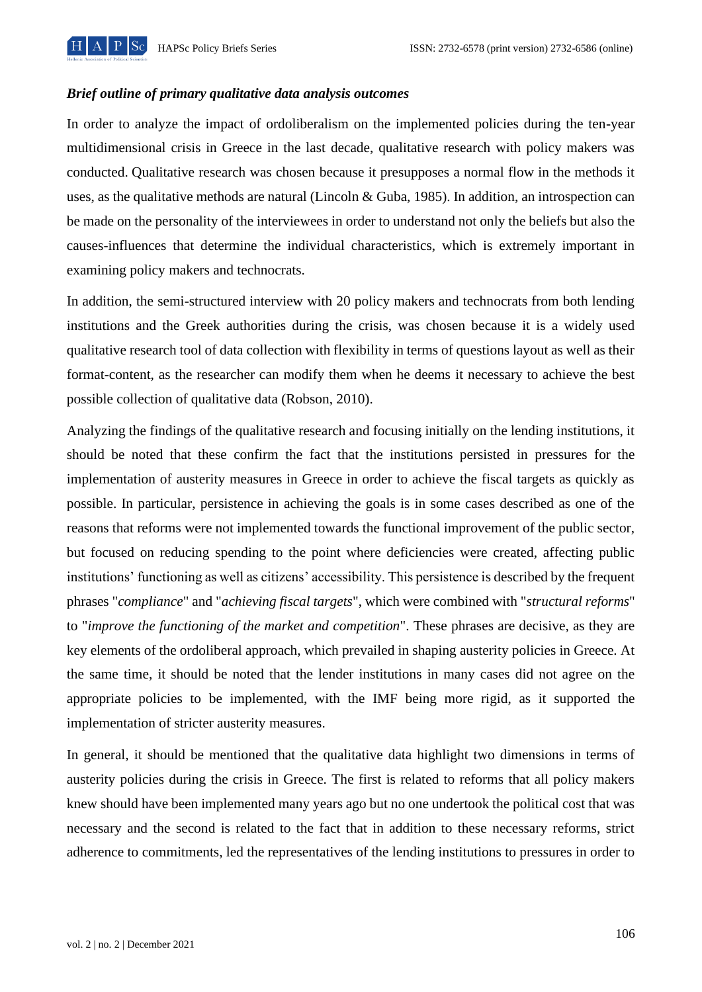

### *Brief outline of primary qualitative data analysis outcomes*

In order to analyze the impact of ordoliberalism on the implemented policies during the ten-year multidimensional crisis in Greece in the last decade, qualitative research with policy makers was conducted. Qualitative research was chosen because it presupposes a normal flow in the methods it uses, as the qualitative methods are natural (Lincoln & Guba, 1985). In addition, an introspection can be made on the personality of the interviewees in order to understand not only the beliefs but also the causes-influences that determine the individual characteristics, which is extremely important in examining policy makers and technocrats.

In addition, the semi-structured interview with 20 policy makers and technocrats from both lending institutions and the Greek authorities during the crisis, was chosen because it is a widely used qualitative research tool of data collection with flexibility in terms of questions layout as well as their format-content, as the researcher can modify them when he deems it necessary to achieve the best possible collection of qualitative data (Robson, 2010).

Analyzing the findings of the qualitative research and focusing initially on the lending institutions, it should be noted that these confirm the fact that the institutions persisted in pressures for the implementation of austerity measures in Greece in order to achieve the fiscal targets as quickly as possible. In particular, persistence in achieving the goals is in some cases described as one of the reasons that reforms were not implemented towards the functional improvement of the public sector, but focused on reducing spending to the point where deficiencies were created, affecting public institutions' functioning as well as citizens' accessibility. This persistence is described by the frequent phrases "*compliance*" and "*achieving fiscal targets*", which were combined with "*structural reforms*" to "*improve the functioning of the market and competition*". These phrases are decisive, as they are key elements of the ordoliberal approach, which prevailed in shaping austerity policies in Greece. At the same time, it should be noted that the lender institutions in many cases did not agree on the appropriate policies to be implemented, with the IMF being more rigid, as it supported the implementation of stricter austerity measures.

In general, it should be mentioned that the qualitative data highlight two dimensions in terms of austerity policies during the crisis in Greece. The first is related to reforms that all policy makers knew should have been implemented many years ago but no one undertook the political cost that was necessary and the second is related to the fact that in addition to these necessary reforms, strict adherence to commitments, led the representatives of the lending institutions to pressures in order to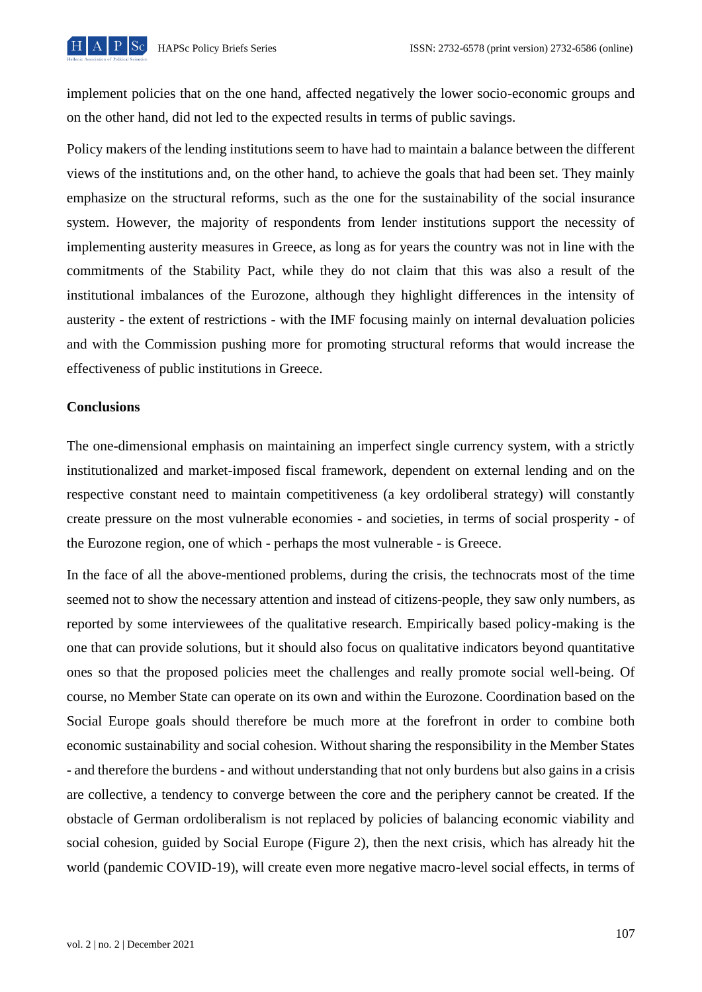

implement policies that on the one hand, affected negatively the lower socio-economic groups and on the other hand, did not led to the expected results in terms of public savings.

Policy makers of the lending institutions seem to have had to maintain a balance between the different views of the institutions and, on the other hand, to achieve the goals that had been set. They mainly emphasize on the structural reforms, such as the one for the sustainability of the social insurance system. However, the majority of respondents from lender institutions support the necessity of implementing austerity measures in Greece, as long as for years the country was not in line with the commitments of the Stability Pact, while they do not claim that this was also a result of the institutional imbalances of the Eurozone, although they highlight differences in the intensity of austerity - the extent of restrictions - with the IMF focusing mainly on internal devaluation policies and with the Commission pushing more for promoting structural reforms that would increase the effectiveness of public institutions in Greece.

#### **Conclusions**

The one-dimensional emphasis on maintaining an imperfect single currency system, with a strictly institutionalized and market-imposed fiscal framework, dependent on external lending and on the respective constant need to maintain competitiveness (a key ordoliberal strategy) will constantly create pressure on the most vulnerable economies - and societies, in terms of social prosperity - of the Eurozone region, one of which - perhaps the most vulnerable - is Greece.

In the face of all the above-mentioned problems, during the crisis, the technocrats most of the time seemed not to show the necessary attention and instead of citizens-people, they saw only numbers, as reported by some interviewees of the qualitative research. Empirically based policy-making is the one that can provide solutions, but it should also focus on qualitative indicators beyond quantitative ones so that the proposed policies meet the challenges and really promote social well-being. Of course, no Member State can operate on its own and within the Eurozone. Coordination based on the Social Europe goals should therefore be much more at the forefront in order to combine both economic sustainability and social cohesion. Without sharing the responsibility in the Member States - and therefore the burdens - and without understanding that not only burdens but also gains in a crisis are collective, a tendency to converge between the core and the periphery cannot be created. If the obstacle of German ordoliberalism is not replaced by policies of balancing economic viability and social cohesion, guided by Social Europe (Figure 2), then the next crisis, which has already hit the world (pandemic COVID-19), will create even more negative macro-level social effects, in terms of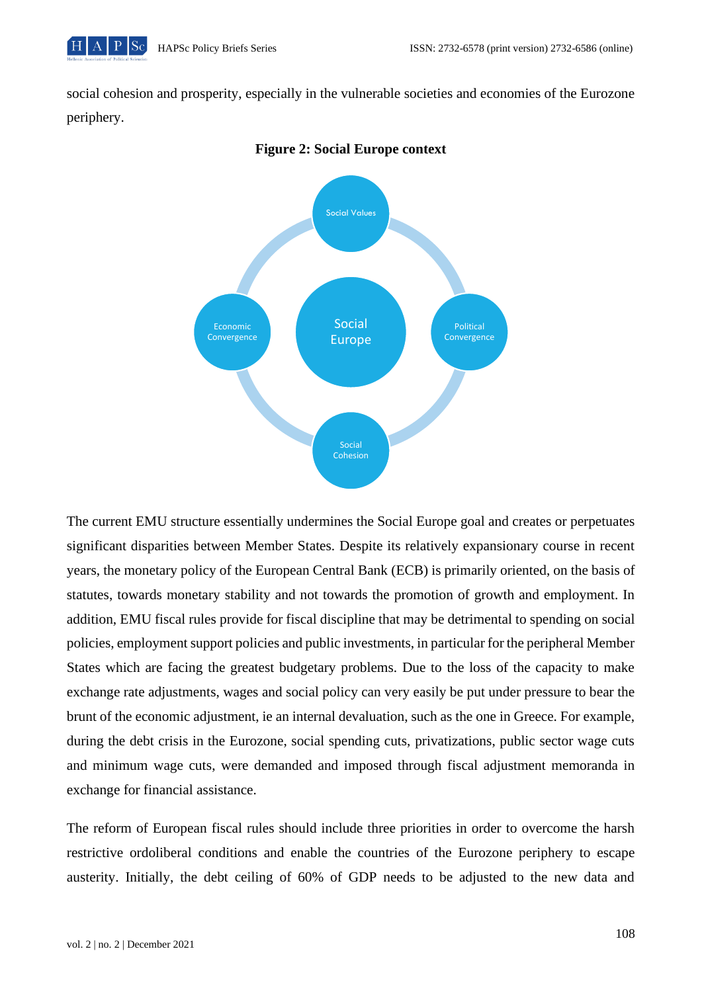

social cohesion and prosperity, especially in the vulnerable societies and economies of the Eurozone periphery.



#### **Figure 2: Social Europe context**

The current EMU structure essentially undermines the Social Europe goal and creates or perpetuates significant disparities between Member States. Despite its relatively expansionary course in recent years, the monetary policy of the European Central Bank (ECB) is primarily oriented, on the basis of statutes, towards monetary stability and not towards the promotion of growth and employment. In addition, EMU fiscal rules provide for fiscal discipline that may be detrimental to spending on social policies, employment support policies and public investments, in particular for the peripheral Member States which are facing the greatest budgetary problems. Due to the loss of the capacity to make exchange rate adjustments, wages and social policy can very easily be put under pressure to bear the brunt of the economic adjustment, ie an internal devaluation, such as the one in Greece. For example, during the debt crisis in the Eurozone, social spending cuts, privatizations, public sector wage cuts and minimum wage cuts, were demanded and imposed through fiscal adjustment memoranda in exchange for financial assistance.

The reform of European fiscal rules should include three priorities in order to overcome the harsh restrictive ordoliberal conditions and enable the countries of the Eurozone periphery to escape austerity. Initially, the debt ceiling of 60% of GDP needs to be adjusted to the new data and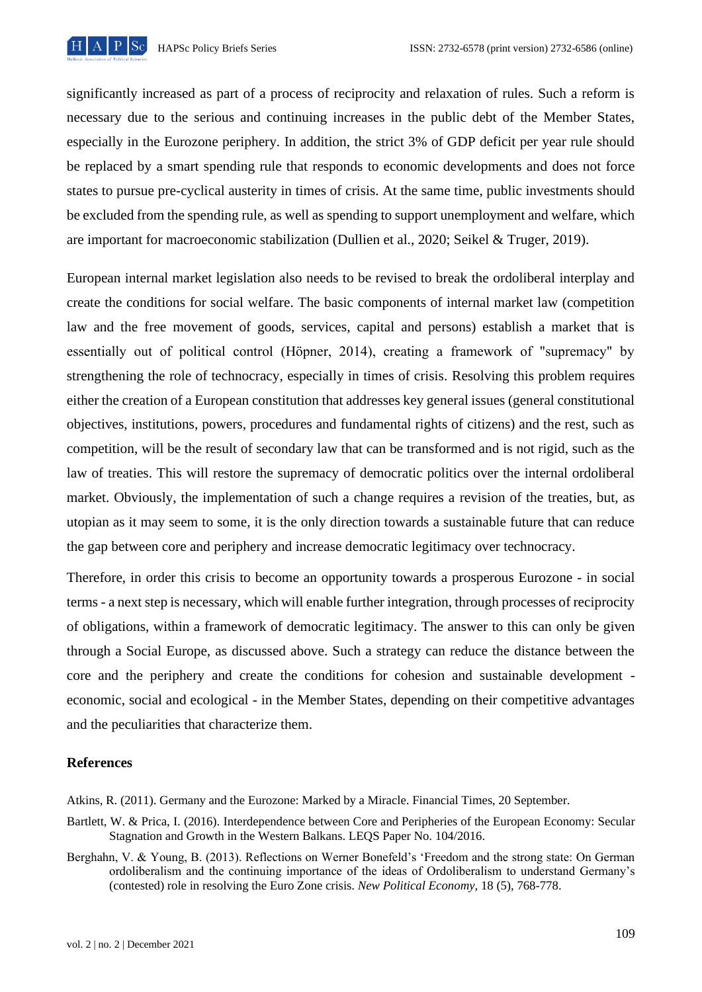

significantly increased as part of a process of reciprocity and relaxation of rules. Such a reform is necessary due to the serious and continuing increases in the public debt of the Member States, especially in the Eurozone periphery. In addition, the strict 3% of GDP deficit per year rule should be replaced by a smart spending rule that responds to economic developments and does not force states to pursue pre-cyclical austerity in times of crisis. At the same time, public investments should be excluded from the spending rule, as well as spending to support unemployment and welfare, which are important for macroeconomic stabilization (Dullien et al., 2020; Seikel & Truger, 2019).

European internal market legislation also needs to be revised to break the ordoliberal interplay and create the conditions for social welfare. The basic components of internal market law (competition law and the free movement of goods, services, capital and persons) establish a market that is essentially out of political control (Höpner, 2014), creating a framework of "supremacy" by strengthening the role of technocracy, especially in times of crisis. Resolving this problem requires either the creation of a European constitution that addresses key general issues (general constitutional objectives, institutions, powers, procedures and fundamental rights of citizens) and the rest, such as competition, will be the result of secondary law that can be transformed and is not rigid, such as the law of treaties. This will restore the supremacy of democratic politics over the internal ordoliberal market. Obviously, the implementation of such a change requires a revision of the treaties, but, as utopian as it may seem to some, it is the only direction towards a sustainable future that can reduce the gap between core and periphery and increase democratic legitimacy over technocracy.

Therefore, in order this crisis to become an opportunity towards a prosperous Eurozone - in social terms - a next step is necessary, which will enable further integration, through processes of reciprocity of obligations, within a framework of democratic legitimacy. The answer to this can only be given through a Social Europe, as discussed above. Such a strategy can reduce the distance between the core and the periphery and create the conditions for cohesion and sustainable development economic, social and ecological - in the Member States, depending on their competitive advantages and the peculiarities that characterize them.

### **References**

Atkins, R. (2011). Germany and the Eurozone: Marked by a Miracle. Financial Times, 20 September.

- Bartlett, W. & Prica, I. (2016). Interdependence between Core and Peripheries of the European Economy: Secular Stagnation and Growth in the Western Balkans. LEQS Paper No. 104/2016.
- Berghahn, V. & Young, B. (2013). Reflections on Werner Bonefeld's 'Freedom and the strong state: On German ordoliberalism and the continuing importance of the ideas of Ordoliberalism to understand Germany's (contested) role in resolving the Euro Zone crisis. *New Political Economy,* 18 (5), 768-778.